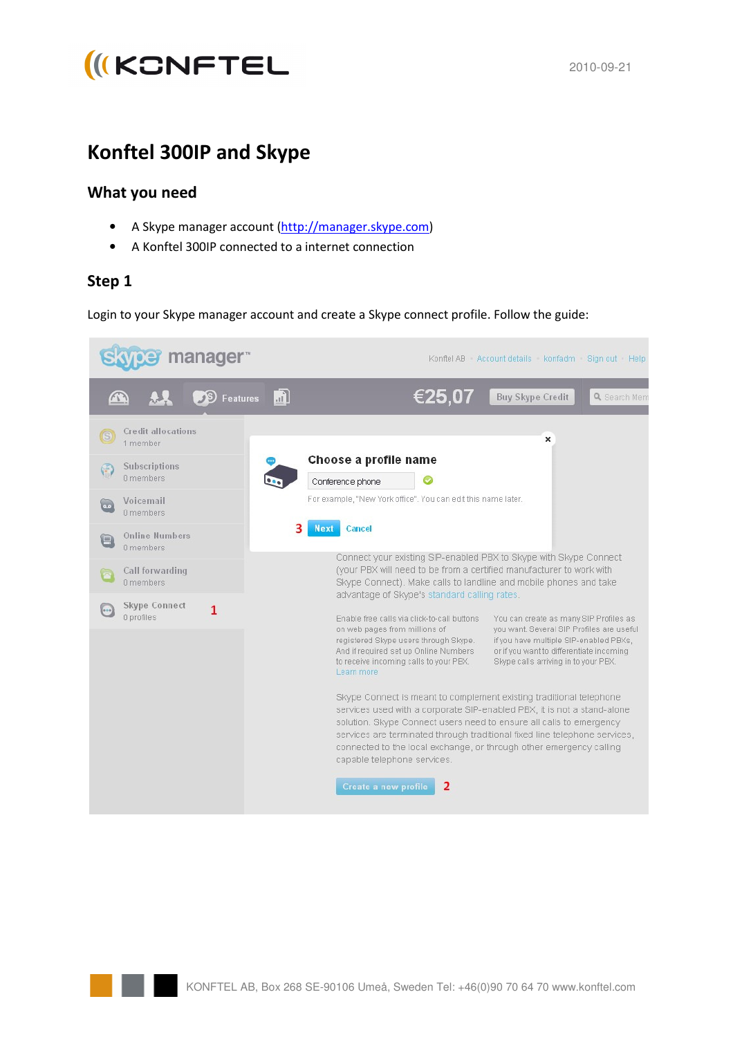

# **Konftel 300IP and Skype**

#### **What you need**

- A Skype manager account (http://manager.skype.com)
- A Konftel 300IP connected to a internet connection

#### **Step 1**

Login to your Skype manager account and create a Skype connect profile. Follow the guide:

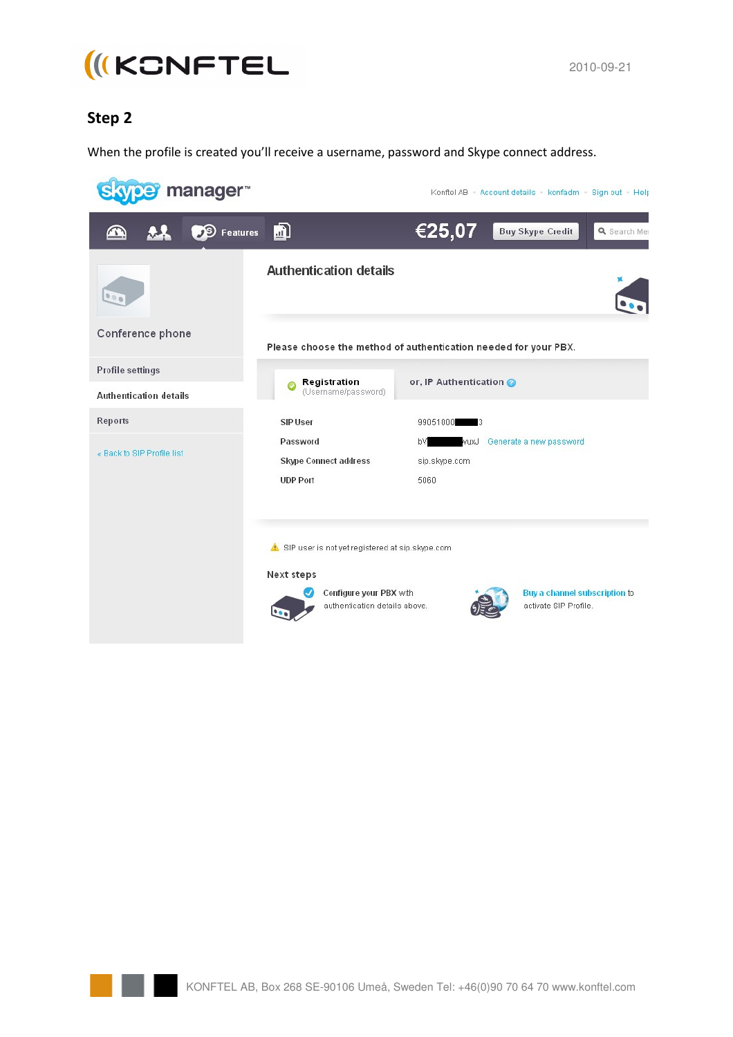

## **Step 2**

When the profile is created you'll receive a username, password and Skype connect address.